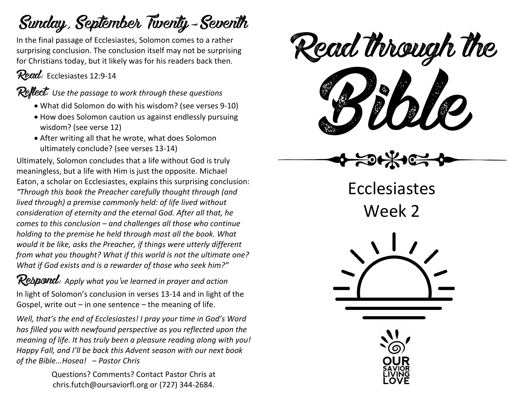## Sunday, September Twenty-Seventh

In the final passage of Ecclesiastes, Solomon comes to a rather surprising conclusion. The conclusion itself may not be surprising for Christians today, but it likely was for his readers back then.

Read: Ecclesiastes 12:9-14

Reflect: *Use the passage to work through these questions*

- What did Solomon do with his wisdom? (see verses 9-10)
- How does Solomon caution us against endlessly pursuing wisdom? (see verse 12)
- After writing all that he wrote, what does Solomon ultimately conclude? (see verses 13-14)

Ultimately, Solomon concludes that a life without God is truly meaningless, but a life with Him is just the opposite. Michael Eaton, a scholar on Ecclesiastes, explains this surprising conclusion: *"Through this book the Preacher carefully thought through (and lived through) a premise commonly held: of life lived without consideration of eternity and the eternal God. After all that, he comes to this conclusion – and challenges all those who continue holding to the premise he held through most all the book. What would it be like, asks the Preacher, if things were utterly different from what you thought? What if this world is not the ultimate one? What if God exists and is a rewarder of those who seek him?"*

Respond: *Apply what you've learned in prayer and action* In light of Solomon's conclusion in verses 13-14 and in light of the Gospel, write out – in one sentence – the meaning of life.

*Well, that's the end of Ecclesiastes! I pray your time in God's Word has filled you with newfound perspective as you reflected upon the meaning of life. It has truly been a pleasure reading along with you! Happy Fall, and I'll be back this Advent season with our next book of the Bible...Hosea! – Pastor Chris* 

> Questions? Comments? Contact Pastor Chris at chris.futch@oursaviorfl.org or (727) 344-2684.

ead mough is Read through the



Ecclesiastes Week 2



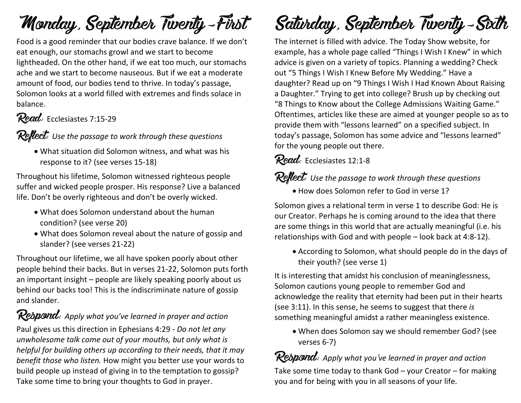# Monday, September Twenty-First

Food is a good reminder that our bodies crave balance. If we don't eat enough, our stomachs growl and we start to become lightheaded. On the other hand, if we eat too much, our stomachs ache and we start to become nauseous. But if we eat a moderate amount of food, our bodies tend to thrive. In today's passage, Solomon looks at a world filled with extremes and finds solace in balance.

## Read: Ecclesiastes 7:15-29

### Reflect: *Use the passage to work through these questions*

• What situation did Solomon witness, and what was his response to it? (see verses 15-18)

Throughout his lifetime, Solomon witnessed righteous people suffer and wicked people prosper. His response? Live a balanced life. Don't be overly righteous and don't be overly wicked.

- What does Solomon understand about the human condition? (see verse 20)
- What does Solomon reveal about the nature of gossip and slander? (see verses 21-22)

Throughout our lifetime, we all have spoken poorly about other people behind their backs. But in verses 21-22, Solomon puts forth an important insight – people are likely speaking poorly about us behind our backs too! This is the indiscriminate nature of gossip and slander.

Respond: *Apply what you've learned in prayer and action* Paul gives us this direction in Ephesians 4:29 - *Do not let any unwholesome talk come out of your mouths, but only what is helpful for building others up according to their needs, that it may benefit those who listen.* How might you better use your words to build people up instead of giving in to the temptation to gossip? Take some time to bring your thoughts to God in prayer.

# Saturday, September Twenty-Sixth

The internet is filled with advice. The Today Show website, for example, has a whole page called "Things I Wish I Knew" in which advice is given on a variety of topics. Planning a wedding? Check out "5 Things I Wish I Knew Before My Wedding." Have a daughter? Read up on "9 Things I Wish I Had Known About Raising a Daughter." Trying to get into college? Brush up by checking out "8 Things to Know about the College Admissions Waiting Game." Oftentimes, articles like these are aimed at younger people so as to provide them with "lessons learned" on a specified subject. In today's passage, Solomon has some advice and "lessons learned" for the young people out there.

## Read: Ecclesiastes 12:1-8

### **Reflect:** Use the passage to work through these questions

• How does Solomon refer to God in verse 1?

Solomon gives a relational term in verse 1 to describe God: He is our Creator. Perhaps he is coming around to the idea that there are some things in this world that are actually meaningful (i.e. his relationships with God and with people – look back at 4:8-12).

• According to Solomon, what should people do in the days of their youth? (see verse 1)

It is interesting that amidst his conclusion of meaninglessness, Solomon cautions young people to remember God and acknowledge the reality that eternity had been put in their hearts (see 3:11). In this sense, he seems to suggest that there *is* something meaningful amidst a rather meaningless existence.

• When does Solomon say we should remember God? (see verses 6-7)

Respond: *Apply what you've learned in prayer and action* Take some time today to thank God – your Creator – for making you and for being with you in all seasons of your life.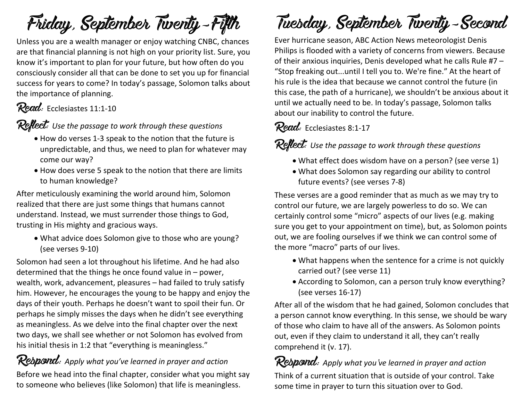Friday, September Twenty-Fifth

Unless you are a wealth manager or enjoy watching CNBC, chances are that financial planning is not high on your priority list. Sure, you know it's important to plan for your future, but how often do you consciously consider all that can be done to set you up for financial success for years to come? In today's passage, Solomon talks about the importance of planning.

#### Read: Ecclesiastes 11:1-10

Reflect: *Use the passage to work through these questions*

- How do verses 1-3 speak to the notion that the future is unpredictable, and thus, we need to plan for whatever may come our way?
- How does verse 5 speak to the notion that there are limits to human knowledge?

After meticulously examining the world around him, Solomon realized that there are just some things that humans cannot understand. Instead, we must surrender those things to God, trusting in His mighty and gracious ways.

• What advice does Solomon give to those who are young? (see verses 9-10)

Solomon had seen a lot throughout his lifetime. And he had also determined that the things he once found value in – power, wealth, work, advancement, pleasures – had failed to truly satisfy him. However, he encourages the young to be happy and enjoy the days of their youth. Perhaps he doesn't want to spoil their fun. Or perhaps he simply misses the days when he didn't see everything as meaningless. As we delve into the final chapter over the next two days, we shall see whether or not Solomon has evolved from his initial thesis in 1:2 that "everything is meaningless."

Respond: *Apply what you've learned in prayer and action* Before we head into the final chapter, consider what you might say to someone who believes (like Solomon) that life is meaningless.

## Tuesday, September Twenty-Second

Ever hurricane season, ABC Action News meteorologist Denis Philips is flooded with a variety of concerns from viewers. Because of their anxious inquiries, Denis developed what he calls Rule #7 – "Stop freaking out...until I tell you to. We're fine." At the heart of his rule is the idea that because we cannot control the future (in this case, the path of a hurricane), we shouldn't be anxious about it until we actually need to be. In today's passage, Solomon talks about our inability to control the future.

### Read: Ecclesiastes 8:1-17

Reflect: *Use the passage to work through these questions*

- What effect does wisdom have on a person? (see verse 1)
- What does Solomon say regarding our ability to control future events? (see verses 7-8)

These verses are a good reminder that as much as we may try to control our future, we are largely powerless to do so. We can certainly control some "micro" aspects of our lives (e.g. making sure you get to your appointment on time), but, as Solomon points out, we are fooling ourselves if we think we can control some of the more "macro" parts of our lives.

- What happens when the sentence for a crime is not quickly carried out? (see verse 11)
- According to Solomon, can a person truly know everything? (see verses 16-17)

After all of the wisdom that he had gained, Solomon concludes that a person cannot know everything. In this sense, we should be wary of those who claim to have all of the answers. As Solomon points out, even if they claim to understand it all, they can't really comprehend it (v. 17).

Respond: *Apply what you've learned in prayer and action* Think of a current situation that is outside of your control. Take some time in prayer to turn this situation over to God.